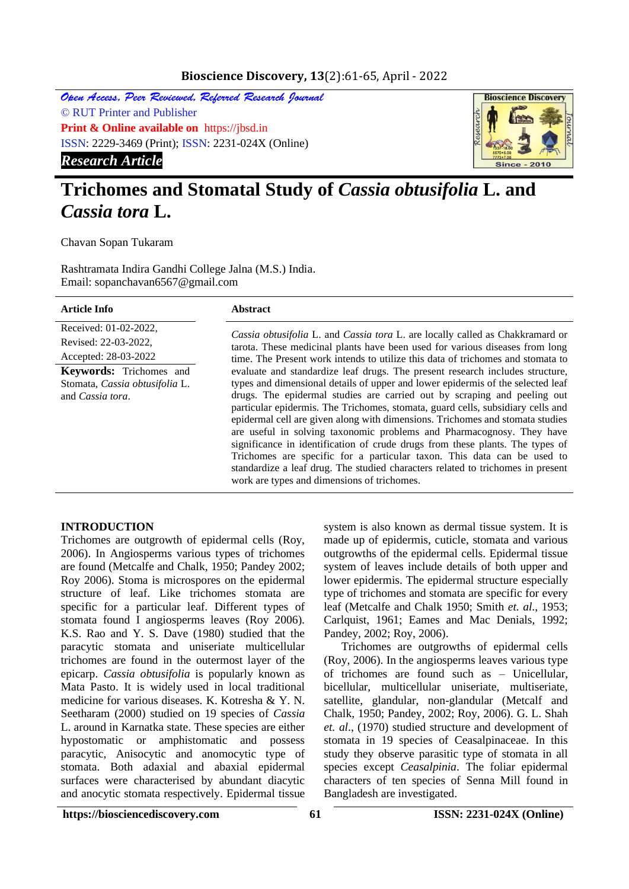# **Bioscience Discovery, 13**(2):61-65, April - 2022

Open Access, Peer Reviewed, Referred Research Journal © RUT Printer and Publisher **Print & Online available on** https://jbsd.in ISSN: 2229-3469 (Print); ISSN: 2231-024X (Online) *Research Article*



# **Trichomes and Stomatal Study of** *Cassia obtusifolia* **L. and**  *Cassia tora* **L.**

Chavan Sopan Tukaram

Rashtramata Indira Gandhi College Jalna (M.S.) India. Email: sopanchavan6567@gmail.com

| <b>Article Info</b>                                                                                                                                           | <b>Abstract</b>                                                                                                                                                                                                                                                                                                                                                                                                                                                                                                                                                                                                                                                                                                                                                                                                                                                                                                                                                                                                                                           |
|---------------------------------------------------------------------------------------------------------------------------------------------------------------|-----------------------------------------------------------------------------------------------------------------------------------------------------------------------------------------------------------------------------------------------------------------------------------------------------------------------------------------------------------------------------------------------------------------------------------------------------------------------------------------------------------------------------------------------------------------------------------------------------------------------------------------------------------------------------------------------------------------------------------------------------------------------------------------------------------------------------------------------------------------------------------------------------------------------------------------------------------------------------------------------------------------------------------------------------------|
| Received: 01-02-2022,<br>Revised: 22-03-2022.<br>Accepted: 28-03-2022<br><b>Keywords:</b> Trichomes and<br>Stomata, Cassia obtusifolia L.<br>and Cassia tora. | <i>Cassia obtusifolia</i> L. and <i>Cassia tora</i> L. are locally called as Chakkramard or<br>tarota. These medicinal plants have been used for various diseases from long<br>time. The Present work intends to utilize this data of trichomes and stomata to<br>evaluate and standardize leaf drugs. The present research includes structure,<br>types and dimensional details of upper and lower epidermis of the selected leaf<br>drugs. The epidermal studies are carried out by scraping and peeling out<br>particular epidermis. The Trichomes, stomata, guard cells, subsidiary cells and<br>epidermal cell are given along with dimensions. Trichomes and stomata studies<br>are useful in solving taxonomic problems and Pharmacognosy. They have<br>significance in identification of crude drugs from these plants. The types of<br>Trichomes are specific for a particular taxon. This data can be used to<br>standardize a leaf drug. The studied characters related to trichomes in present<br>work are types and dimensions of trichomes. |
|                                                                                                                                                               |                                                                                                                                                                                                                                                                                                                                                                                                                                                                                                                                                                                                                                                                                                                                                                                                                                                                                                                                                                                                                                                           |

### **INTRODUCTION**

Trichomes are outgrowth of epidermal cells (Roy, 2006). In Angiosperms various types of trichomes are found (Metcalfe and Chalk, 1950; Pandey 2002; Roy 2006). Stoma is microspores on the epidermal structure of leaf. Like trichomes stomata are specific for a particular leaf. Different types of stomata found I angiosperms leaves (Roy 2006). K.S. Rao and Y. S. Dave (1980) studied that the paracytic stomata and uniseriate multicellular trichomes are found in the outermost layer of the epicarp. *Cassia obtusifolia* is popularly known as Mata Pasto. It is widely used in local traditional medicine for various diseases. K. Kotresha & Y. N. Seetharam (2000) studied on 19 species of *Cassia* L. around in Karnatka state. These species are either hypostomatic or amphistomatic and possess paracytic, Anisocytic and anomocytic type of stomata. Both adaxial and abaxial epidermal surfaces were characterised by abundant diacytic and anocytic stomata respectively. Epidermal tissue

system is also known as dermal tissue system. It is made up of epidermis, cuticle, stomata and various outgrowths of the epidermal cells. Epidermal tissue system of leaves include details of both upper and lower epidermis. The epidermal structure especially type of trichomes and stomata are specific for every leaf (Metcalfe and Chalk 1950; Smith *et. al*., 1953; Carlquist, 1961; Eames and Mac Denials, 1992; Pandey, 2002; Roy, 2006).

 Trichomes are outgrowths of epidermal cells (Roy, 2006). In the angiosperms leaves various type of trichomes are found such as – Unicellular, bicellular, multicellular uniseriate, multiseriate, satellite, glandular, non-glandular (Metcalf and Chalk, 1950; Pandey, 2002; Roy, 2006). G. L. Shah *et. al*., (1970) studied structure and development of stomata in 19 species of Ceasalpinaceae. In this study they observe parasitic type of stomata in all species except *Ceasalpinia*. The foliar epidermal characters of ten species of Senna Mill found in Bangladesh are investigated.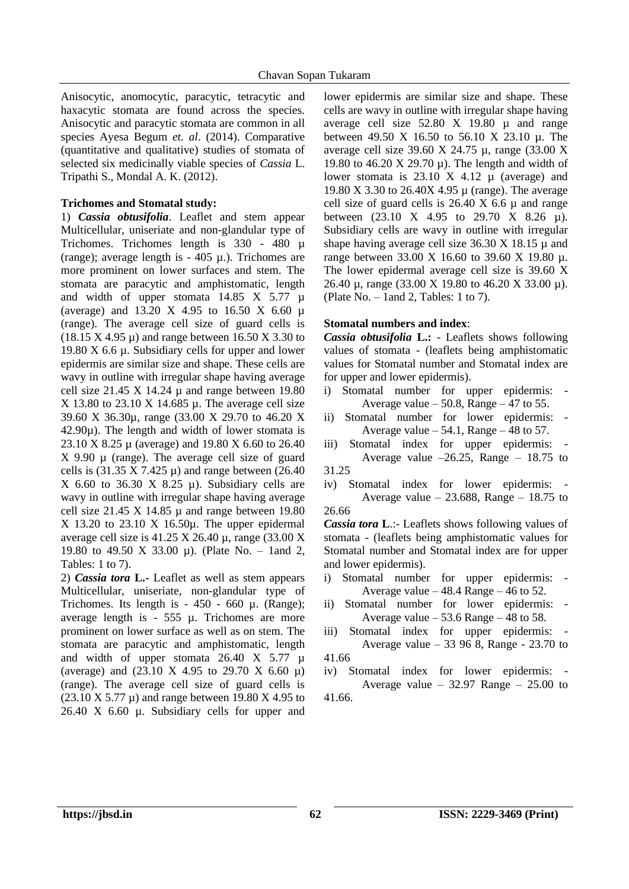Anisocytic, anomocytic, paracytic, tetracytic and haxacytic stomata are found across the species. Anisocytic and paracytic stomata are common in all species Ayesa Begum *et. al*. (2014). Comparative (quantitative and qualitative) studies of stomata of selected six medicinally viable species of *Cassia* L. Tripathi S., Mondal A. K. (2012).

# **Trichomes and Stomatal study:**

1) *Cassia obtusifolia*. Leaflet and stem appear Multicellular, uniseriate and non-glandular type of Trichomes. Trichomes length is 330 - 480 µ (range); average length is  $-405 \mu$ .). Trichomes are more prominent on lower surfaces and stem. The stomata are paracytic and amphistomatic, length and width of upper stomata  $14.85$  X  $5.77$   $\mu$ (average) and 13.20 X 4.95 to 16.50 X 6.60  $\mu$ (range). The average cell size of guard cells is  $(18.15 \text{ X } 4.95 \mu)$  and range between 16.50 X 3.30 to 19.80 X 6.6  $\mu$ . Subsidiary cells for upper and lower epidermis are similar size and shape. These cells are wavy in outline with irregular shape having average cell size  $21.45 \text{ X } 14.24 \mu$  and range between 19.80  $X$  13.80 to 23.10 X 14.685  $\mu$ . The average cell size 39.60 X 36.30µ, range (33.00 X 29.70 to 46.20 X  $42.90\mu$ ). The length and width of lower stomata is 23.10 X 8.25 µ (average) and 19.80 X 6.60 to 26.40 X 9.90 µ (range). The average cell size of guard cells is  $(31.35 \text{ X } 7.425 \mu)$  and range between  $(26.40$ X 6.60 to 36.30 X 8.25  $\mu$ ). Subsidiary cells are wavy in outline with irregular shape having average cell size 21.45 X 14.85  $\mu$  and range between 19.80  $X$  13.20 to 23.10  $X$  16.50 $\mu$ . The upper epidermal average cell size is  $41.25 \text{ X } 26.40 \mu$ , range (33.00 X) 19.80 to 49.50 X 33.00 µ). (Plate No. – 1and 2, Tables: 1 to 7).

2) *Cassia tora* **L.-** Leaflet as well as stem appears Multicellular, uniseriate, non-glandular type of Trichomes. Its length is  $-450 - 660 \mu$ . (Range); average length is  $-555 \mu$ . Trichomes are more prominent on lower surface as well as on stem. The stomata are paracytic and amphistomatic, length and width of upper stomata  $26.40 \times 5.77 \mu$ (average) and (23.10 X 4.95 to 29.70 X 6.60  $\mu$ ) (range). The average cell size of guard cells is  $(23.10 \text{ X } 5.77 \mu)$  and range between 19.80 X 4.95 to 26.40 X 6.60 µ. Subsidiary cells for upper and

lower epidermis are similar size and shape. These cells are wavy in outline with irregular shape having average cell size 52.80 X 19.80 µ and range between 49.50 X 16.50 to 56.10 X 23.10 µ. The average cell size 39.60 X 24.75 µ, range (33.00 X 19.80 to 46.20 X 29.70 µ). The length and width of lower stomata is  $23.10 \text{ X } 4.12 \mu$  (average) and 19.80 X 3.30 to 26.40X 4.95 µ (range). The average cell size of guard cells is  $26.40 \text{ X } 6.6 \mu$  and range between (23.10 X 4.95 to 29.70 X 8.26 µ). Subsidiary cells are wavy in outline with irregular shape having average cell size  $36.30 \text{ X}$  18.15  $\mu$  and range between 33.00 X 16.60 to 39.60 X 19.80 µ. The lower epidermal average cell size is 39.60 X 26.40 µ, range (33.00 X 19.80 to 46.20 X 33.00 µ). (Plate No.  $-$  1 and 2, Tables: 1 to 7).

# **Stomatal numbers and index**:

*Cassia obtusifolia* **L.:** - Leaflets shows following values of stomata - (leaflets being amphistomatic values for Stomatal number and Stomatal index are for upper and lower epidermis).

- i) Stomatal number for upper epidermis: Average value  $-50.8$ , Range  $-47$  to 55.
- ii) Stomatal number for lower epidermis: Average value  $-54.1$ , Range  $-48$  to 57.
- iii) Stomatal index for upper epidermis: Average value  $-26.25$ , Range  $-18.75$  to 31.25
- iv) Stomatal index for lower epidermis: Average value  $-23.688$ , Range  $-18.75$  to 26.66

*Cassia tora* **L**.:- Leaflets shows following values of stomata - (leaflets being amphistomatic values for Stomatal number and Stomatal index are for upper and lower epidermis).

- i) Stomatal number for upper epidermis: Average value  $-48.4$  Range  $-46$  to 52.
- ii) Stomatal number for lower epidermis: Average value  $-53.6$  Range  $-48$  to 58.

iii) Stomatal index for upper epidermis: - Average value – 33 96 8, Range - 23.70 to 41.66

iv) Stomatal index for lower epidermis: - Average value  $-32.97$  Range  $-25.00$  to 41.66.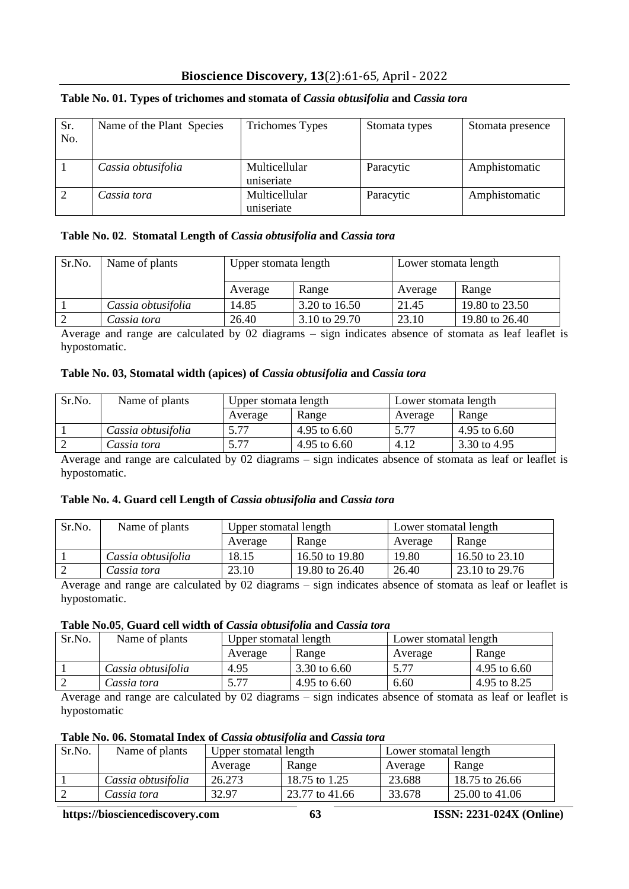# **Bioscience Discovery, 13**(2):61-65, April - 2022

| Sr.<br>No. | Name of the Plant Species | <b>Trichomes Types</b>             | Stomata types | Stomata presence |
|------------|---------------------------|------------------------------------|---------------|------------------|
|            | Cassia obtusifolia        | <b>Multicellular</b><br>uniseriate | Paracytic     | Amphistomatic    |
|            | Cassia tora               | Multicellular<br>uniseriate        | Paracytic     | Amphistomatic    |

# **Table No. 01. Types of trichomes and stomata of** *Cassia obtusifolia* **and** *Cassia tora*

# **Table No. 02**. **Stomatal Length of** *Cassia obtusifolia* **and** *Cassia tora*

| Sr.No. | Name of plants     | Upper stomata length |               | Lower stomata length |                |
|--------|--------------------|----------------------|---------------|----------------------|----------------|
|        |                    | Average              | Range         | Average              | Range          |
|        | Cassia obtusifolia | 14.85                | 3.20 to 16.50 | 21.45                | 19.80 to 23.50 |
|        | Cassia tora        | 26.40                | 3.10 to 29.70 | 23.10                | 19.80 to 26.40 |

Average and range are calculated by 02 diagrams – sign indicates absence of stomata as leaf leaflet is hypostomatic.

# **Table No. 03, Stomatal width (apices) of** *Cassia obtusifolia* **and** *Cassia tora*

| Sr.No. | Name of plants     | Upper stomata length |              | Lower stomata length |              |
|--------|--------------------|----------------------|--------------|----------------------|--------------|
|        |                    | Average              | Range        | Average              | Range        |
|        | Cassia obtusifolia | 5.77                 | 4.95 to 6.60 | 5.77                 | 4.95 to 6.60 |
|        | Cassia tora        | 5.77                 | 4.95 to 6.60 | 4.12                 | 3.30 to 4.95 |

Average and range are calculated by 02 diagrams – sign indicates absence of stomata as leaf or leaflet is hypostomatic.

### **Table No. 4. Guard cell Length of** *Cassia obtusifolia* **and** *Cassia tora*

| Sr.No. | Name of plants     | Upper stomatal length |                | Lower stomatal length |                |
|--------|--------------------|-----------------------|----------------|-----------------------|----------------|
|        |                    | Average               | Range          | Average               | Range          |
|        | Cassia obtusifolia | 18.15                 | 16.50 to 19.80 | 19.80                 | 16.50 to 23.10 |
|        | Cassia tora        | 23.10                 | 19.80 to 26.40 | 26.40                 | 23.10 to 29.76 |

Average and range are calculated by 02 diagrams – sign indicates absence of stomata as leaf or leaflet is hypostomatic.

### **Table No.05**, **Guard cell width of** *Cassia obtusifolia* **and** *Cassia tora*

| Sr.No. | Name of plants     | Upper stomatal length |              | Lower stomatal length |              |  |
|--------|--------------------|-----------------------|--------------|-----------------------|--------------|--|
|        |                    | Average               | Range        | Average               | Range        |  |
|        | Cassia obtusifolia | 4.95                  | 3.30 to 6.60 | 5.77                  | 4.95 to 6.60 |  |
|        | Cassia tora        | 5.77                  | 4.95 to 6.60 | 6.60                  | 4.95 to 8.25 |  |

Average and range are calculated by 02 diagrams – sign indicates absence of stomata as leaf or leaflet is hypostomatic

# **Table No. 06. Stomatal Index of** *Cassia obtusifolia* **and** *Cassia tora*

| Sr.No. | Name of plants     | Upper stomatal length |                | Lower stomatal length |                |
|--------|--------------------|-----------------------|----------------|-----------------------|----------------|
|        |                    | Average               | Range          | Average               | Range          |
|        | Cassia obtusifolia | 26.273                | 18.75 to 1.25  | 23.688                | 18.75 to 26.66 |
|        | Cassia tora        | 32.97                 | 23.77 to 41.66 | 33.678                | 25.00 to 41.06 |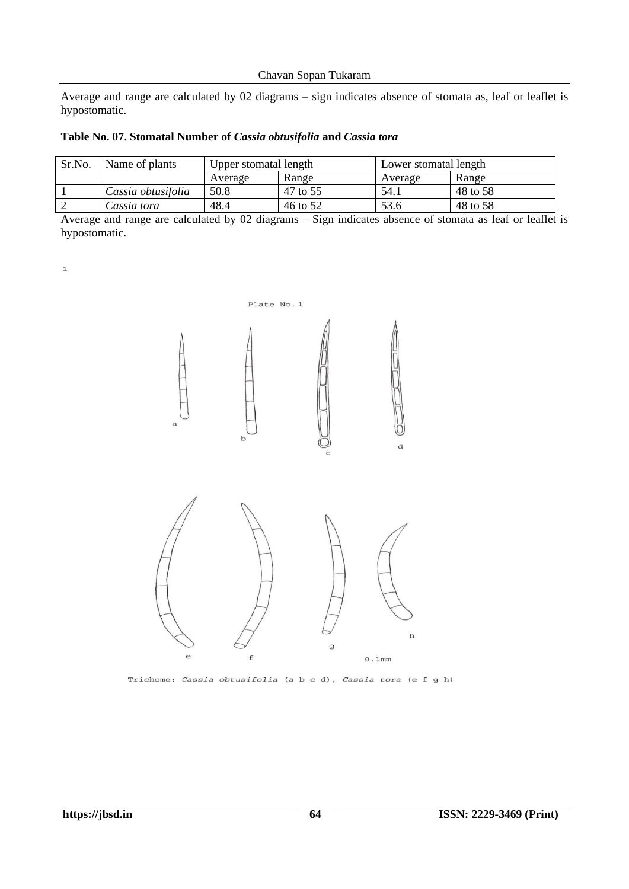Chavan Sopan Tukaram

Average and range are calculated by 02 diagrams – sign indicates absence of stomata as, leaf or leaflet is hypostomatic.

| Table No. 07. Stomatal Number of Cassia obtusifolia and Cassia tora |  |  |  |
|---------------------------------------------------------------------|--|--|--|
|---------------------------------------------------------------------|--|--|--|

| Sr.No. | Name of plants     | Upper stomatal length |          | Lower stomatal length |          |
|--------|--------------------|-----------------------|----------|-----------------------|----------|
|        |                    | Average               | Range    | Average               | Range    |
|        | Cassia obtusifolia | 50.8                  | 47 to 55 | 54.1                  | 48 to 58 |
|        | Cassia tora        | 48.4                  | 46 to 52 | 53.6                  | 48 to 58 |

Average and range are calculated by 02 diagrams – Sign indicates absence of stomata as leaf or leaflet is hypostomatic.

|              | Plate No. 1 |              |                          |
|--------------|-------------|--------------|--------------------------|
| $\mathsf{a}$ | $\mathbf b$ | $\mathbf C$  | $\rm{d}$                 |
| $\epsilon$   | f           | $\mathbf{g}$ | $\, {\bf h}$<br>$0.1$ mm |

Trichome: Cassia obtusifolia (a b c d), Cassia tora (e f g h)

 $\mathtt 1$